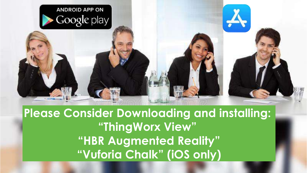

**Please Consider Downloading and installing: "ThingWorx View" "HBR Augmented Reality" "Vuforia Chalk" (iOS only)**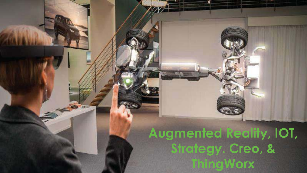**Augmented Reality, IOT, Strategy. Creo, & ThingWorx**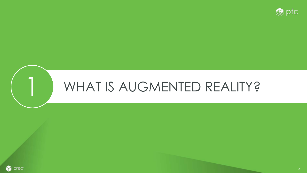

# WHAT IS AUGMENTED REALITY?

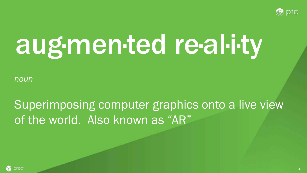

# aug·men·ted re·al·i·ty

*noun*

# Superimposing computer graphics onto a live view of the world. Also known as "AR"

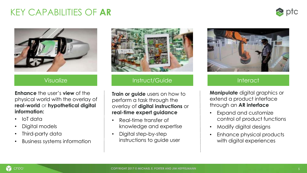#### KEY CAPABILITIES OF **AR**





**Enhance** the user's **view** of the physical world with the overlay of **real-world** or **hypothetical digital information:**

- IoT data
- Digital models
- Third-party data
- Business systems information



#### Visualize **Instruct/Guide**

**Train or guide** users on how to perform a task through the overlay of **digital instructions** or **real-time expert guidance** 

- Real-time transfer of knowledge and expertise
- Digital step-by-step instructions to guide user



#### **Interact**

**Manipulate** digital graphics or extend a product interface through an **AR interface** 

- Expand and customize control of product functions
- Modify digital designs
- Enhance physical products with digital experiences

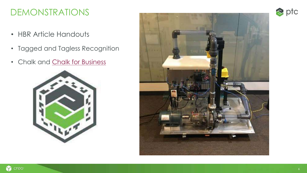#### DEMONSTRATIONS

- HBR Article Handouts
- Tagged and Tagless Recognition
- Chalk and [Chalk for Business](http://info.vuforia.com/ChalkEarlyAccess)





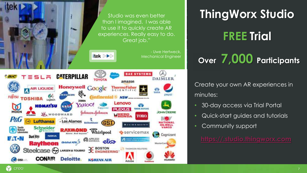

## **ThingWorx Studio**

# **FREE Trial**

# **Over 7,000 Participants**

Create your own AR experiences in minutes:

- 30-day access via Trial Portal
- Quick-start guides and tutorials
- Community support

**[https://.studio.thingworx.com](http://www.studio.thingworx.com/)**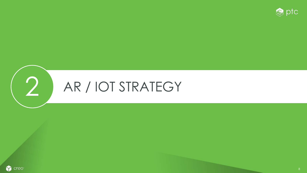



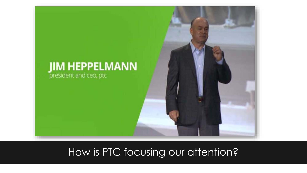

### How is PTC focusing our attention?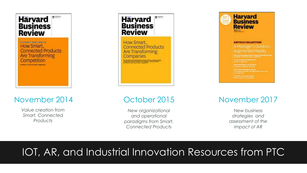

#### November 2014 October 2015 November 2017

*Value creation from Smart, Connected Products*

#### **安二二 Harvard Business Review** How Smart, **Connected Products** Are Transforming

Companies

*New organizational and operational paradigms from Smart, Connected Products*



*New business strategies and assessment of the impact of AR*

### IOT, AR, and Industrial Innovation Resources from PTC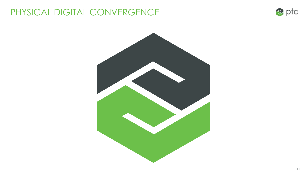### PHYSICAL DIGITAL CONVERGENCE



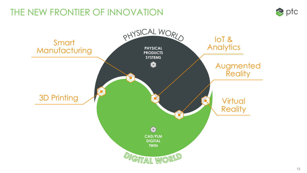### THE NEW FRONTIER OF INNOVATION



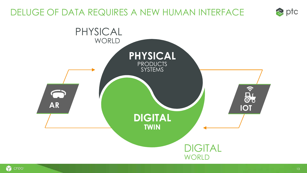### DELUGE OF DATA REQUIRES A NEW HUMAN INTERFACE



 $\bullet$  ptc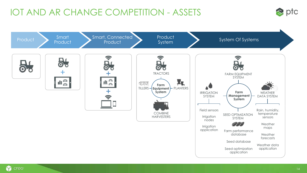### IOT AND AR CHANGE COMPETITION - ASSETS



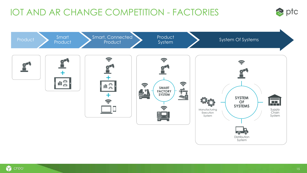### IOT AND AR CHANGE COMPETITION - FACTORIES





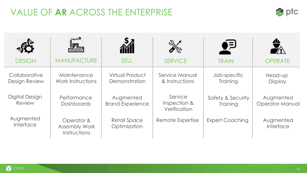### VALUE OF **AR** ACROSS THE ENTERPRISE



| <b>DESIGN</b>                         | <br><b>MANUFACTURE</b>                             | <b>SELL</b>                             | <b>SERVICE</b>                          | কুই<br><b>TRAIN</b>           | <b>OPERATE</b>                      |
|---------------------------------------|----------------------------------------------------|-----------------------------------------|-----------------------------------------|-------------------------------|-------------------------------------|
| Collaborative<br><b>Design Review</b> | Maintenance<br>Work Instructions                   | <b>Virtual Product</b><br>Demonstration | Service Manual<br>& Instructions        | Job-specific<br>Training      | Head-up<br><b>Display</b>           |
| Digital Design<br>Review              | Performance<br><b>Dashboards</b>                   | Augmented<br><b>Brand Experience</b>    | Service<br>Inspection &<br>Verification | Safety & Security<br>Training | Augmented<br><b>Operator Manual</b> |
| Augmented<br>Interface                | Operator &<br><b>Assembly Work</b><br>Instructions | <b>Retail Space</b><br>Optimization     | Remote Expertise                        | <b>Expert Coaching</b>        | Augmented<br>Interface              |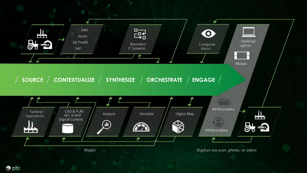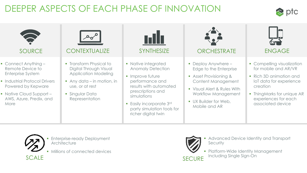### DEEPER ASPECTS OF EACH PHASE OF INNOVATION







- **Enterprise-ready Deployment Architecture**
- **Millions of connected devices**



Advanced Device Identity and Transport **Security** 

**Platform-Wide Identity Management** SECURE Including Single Sign-On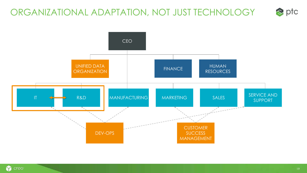### ORGANIZATIONAL ADAPTATION, NOT JUST TECHNOLOGY





 $\bullet$  ptc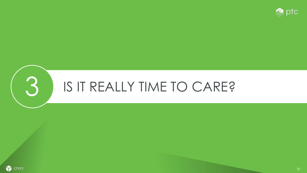



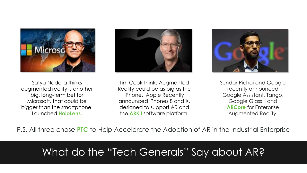

Satya Nadella thinks augmented reality is another big, long-term bet for Microsoft, that could be bigger than the smartphone. Launched **HoloLens.**



Tim Cook thinks Augmented Reality could be as big as the iPhone. Apple Recently announced iPhones 8 and X, designed to support AR and the **ARKit** software platform.



Sundar Pichai and Google recently announced Google Assistant, Tango, Google Glass II and **ARCore** for Enterprise Augmented Reality.

P.S. All three chose **PTC** to Help Accelerate the Adoption of AR in the Industrial Enterprise

### What do the "Tech Generals" Say about AR?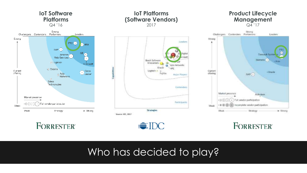

#### **IoT Platforms (Software Vendors)** 2017

**Bosch Software** 

LogMein a

Capabilities

Source: IDC, 2017

Innovations

Oracle

Futilda

Londers

**Jigita** 

Ayla Networks

Marine Players

Contenders

**Farticipants** 

ö

#### **Product Lifecycle Management**   $Q\bar{4}$ '17



**FORRESTER®** 

#### **FORRESTER**



**Strategies** 

### Who has decided to play?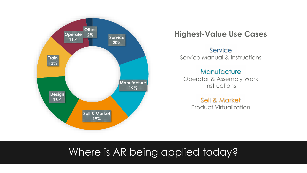

#### **Highest-Value Use Cases**

Service Service Manual & Instructions

#### **Manufacture**

Operator & Assembly Work Instructions

> Sell & Market Product Virtualization

### Where is AR being applied today?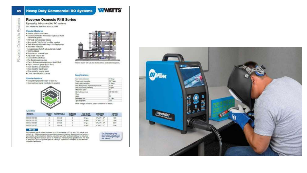#### **Reverse Osmosis R18 Series**

Top quality, fully assembled RO systems Four models for flow rates up to 30 GPM

#### **Standard features**

Systems

Cempes<sup>5</sup>

· Powder control steel from: . Electronic controller with teacherd product water conductivity probat + FFP side port pressure vessels

- Nonmetalic "Tig Dubba" pre-itter housing<br>- Wellcal heavy-duty nuiti-stage contribupal pump
- \* Automatic men volvo
- . Low process shall of with automatic meter
- Reverse · Tank love trippet
	- · Professionant interiods input
	- · Adjustable recycle line
	- · Concordmon auto firsh
	- . Pro-filter premaze gaugen:
		- Pump decharge pressure gauge (liquid filed) . Fisiod pressure gauge (light) filed) . Flow trease for product water
		- . Flow motor for sajact water.
		- . Flow meter for recycle water
		- . Check valve for product water

#### **Stredard options**

. UV System preplumbed pro or post FIO . Chemical food pump installed and prowinci





His oc stown with LW and characterized promotives options.

#### Specifications

| AN WORK COTTACORD.                           | <sup>27</sup> Harry  |  |
|----------------------------------------------|----------------------|--|
| <b><i><u>Industrial Adams Ration</u></i></b> | 15" Flasgo           |  |
| <b>Board water controller</b>                | 1 <sup>+</sup> Times |  |
| Fest want presure obgainment bricks and      | 153 pind.            |  |
| ---<br>Unais registroment brussins and       | 117 quest            |  |
| Motive home present                          | 細くり                  |  |
| Flocklical inclusions ed.                    | <b>TROUND LAST</b>   |  |
| Phoenix<br>w<br>42                           |                      |  |
| Particular:                                  | 4F                   |  |
| Menteare Sue                                 |                      |  |
| <b>Fysical oractive</b>                      | 98%                  |  |

Other wollages available, pieces contact us for distals.

#### Models

| MODEL ROL            | <b>RECOVERY MOLD</b> | <b>REGISTERED INVANCI</b> | <b>THEFT</b>                                | SIMPLY.<br>8.85, 651 |
|----------------------|----------------------|---------------------------|---------------------------------------------|----------------------|
| HIS 43-1121100       | DA CUN               | D etgen.                  | <b>BCLUTICE</b>                             | ШO                   |
| THE OF TESTING       | $-10.75%$            | ⊵em                       | $10^{\circ}$ k $10^{\circ}$ k $0.7^{\circ}$ | TD)                  |
| <b>FIR-00-113D39</b> | W-75%                | <b>ID WHILE</b>           | <b>BCLUSAR</b>                              | T000                 |
| THE OG-TERRITO       | TA CON               | <b>III</b> gas            | <b>UP177107</b>                             | 000                  |

#### **NOTICE**

Performance apecifications are trased on 77°F feed water 3 SQI or less, TDS below 2008 and pH of 7. Please see water temperature conversion charts to determine actual production-rare for each matallation. Chlorine reduction and other pretreatment may be required. Membrane rejection rates are based on membrane manufacturer's specifications. Fire litter a Welt Stiff-150-PS synthetic pleated contribute. Systems are directed for use with munizzation est were

For Configurator and<br>Application Trock, please refer us the beginning of **Besinkling** 

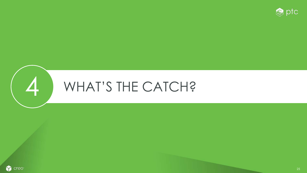



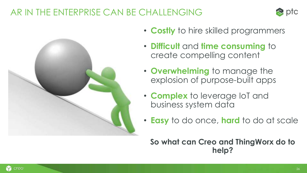### AR IN THE ENTERPRISE CAN BE CHALLENGING





- **Costly** to hire skilled programmers
- **Difficult** and **time consuming** to create compelling content
- **Overwhelming** to manage the explosion of purpose-built apps
- **Complex** to leverage IoT and business system data
- **Easy** to do once, **hard** to do at scale

**So what can Creo and ThingWorx do to help?**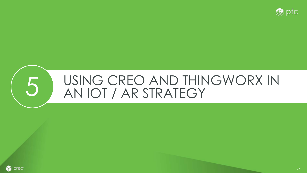

### 5 USING CREO AND THINGWORX IN AN IOT / AR STRATEGY

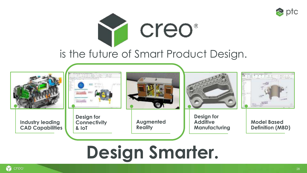



### is the future of Smart Product Design.



# **Design Smarter.**

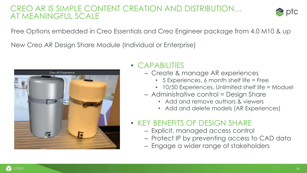#### CREO AR IS SIMPLE CONTENT CREATION AND DISTRIBUTION… AT MEANINGFUL SCALE



Free Options embedded in Creo Essentials and Creo Engineer package from 4.0 M10 & up

New Creo AR Design Share Module (Individual or Enterprise)



#### • CAPABILITIES

- Create & manage AR experiences
	- 5 Experiences, 6 month shelf life = Free
	- 10/50 Experiences, Unlimited shelf life = Moduel
- Administrative control = Design Share
	- Add and remove authors & viewers
	- Add and delete models (AR Experiences)

#### • KEY BENEFITS OF DESIGN SHARE

- Explicit, managed access control
- Protect IP by preventing access to CAD data
- Engage a wider range of stakeholders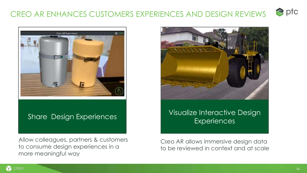#### $\bullet$  ptc CREO AR ENHANCES CUSTOMERS EXPERIENCES AND DESIGN REVIEWS



#### Share Design Experiences

Allow colleagues, partners & customers to consume design experiences in a more meaningful way



#### Visualize Interactive Design **Experiences**

Creo AR allows immersive design data to be reviewed in context and at scale

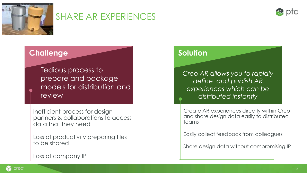

#### SHARE AR EXPERIENCES



#### **Challenge Solution**

Tedious process to prepare and package models for distribution and review

Inefficient process for design partners & collaborations to access data that they need

Loss of productivity preparing files to be shared

Loss of company IP

*Creo AR allows you to rapidly define and publish AR experiences which can be distributed instantly* 

Create AR experiences directly within Creo and share design data easily to distributed teams

Easily collect feedback from colleagues

Share design data without compromising IP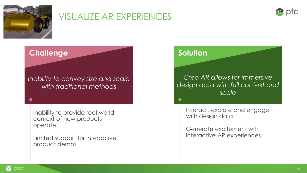

#### VISUALIZE AR EXPERIENCES



#### **Challenge Solution**

*Inability to convey size and scale with traditional methods*

Inability to provide real-world context of how products operate

Limited support for interactive product demos

#### *Creo AR allows for immersive design data with full context and scale*

Interact, explore and engage with design data

Generate excitement with interactive AR experiences